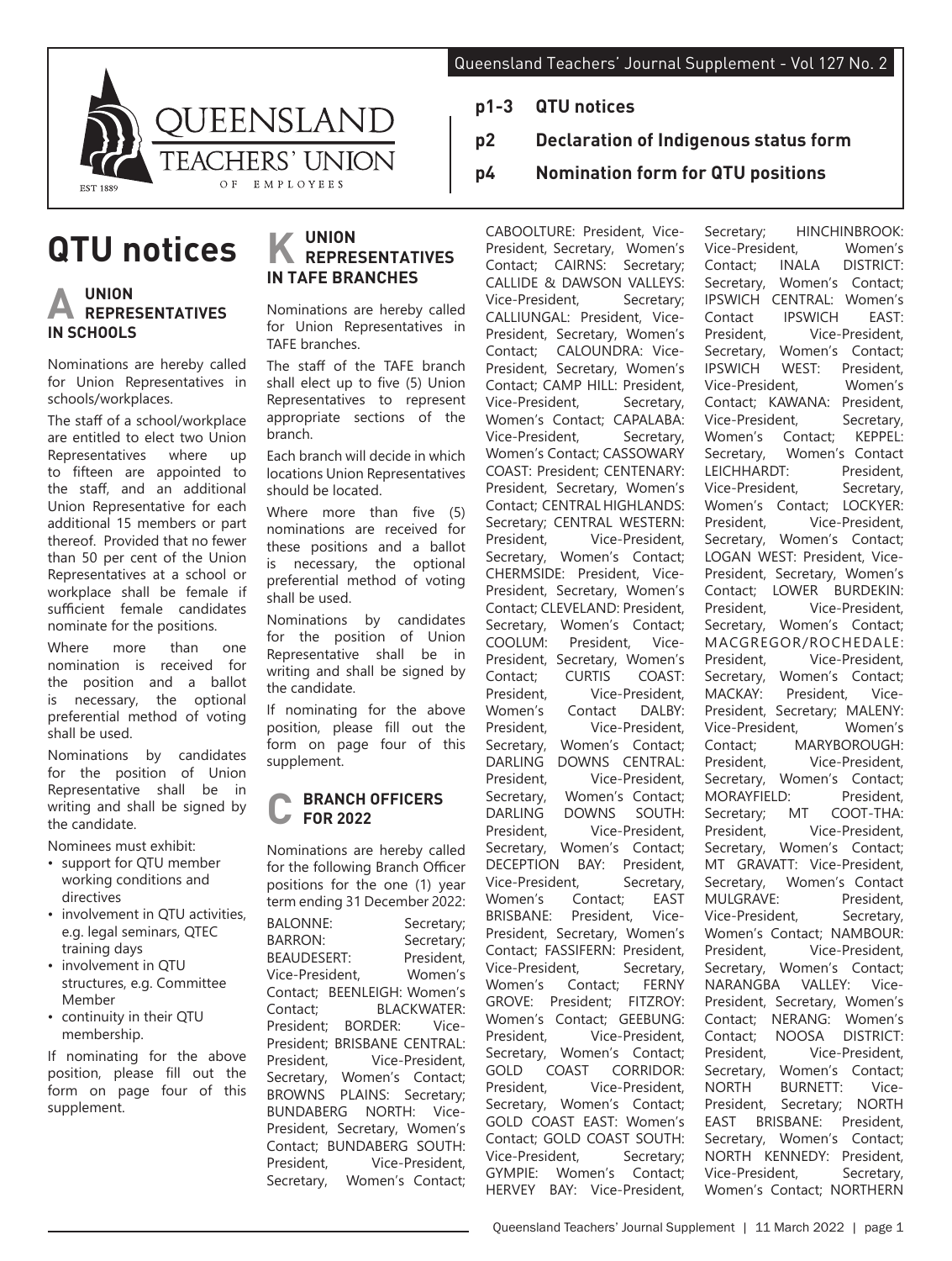**p2 Declaration of Indigenous status form**

**p4 Nomination form for QTU positions**

**p1-3 QTU notices**



# **QTU notices**

## **A UNION REPRESENTATIVES IN SCHOOLS**

Nominations are hereby called for Union Representatives in schools/workplaces.

The staff of a school/workplace are entitled to elect two Union Representatives where up to fifteen are appointed to the staff, and an additional Union Representative for each additional 15 members or part thereof. Provided that no fewer than 50 per cent of the Union Representatives at a school or workplace shall be female if sufficient female candidates nominate for the positions.

Where more than one nomination is received for the position and a ballot is necessary, the optional preferential method of voting shall be used.

Nominations by candidates for the position of Union Representative shall be in writing and shall be signed by the candidate.

Nominees must exhibit:

- support for QTU member working conditions and directives
- involvement in QTU activities, e.g. legal seminars, QTEC training days
- involvement in QTU structures, e.g. Committee Member
- continuity in their QTU membership.

If nominating for the above position, please fill out the form on page four of this supplement.

## **K UNION REPRESENTATIVES IN TAFE BRANCHES**

Nominations are hereby called for Union Representatives in TAFE branches.

The staff of the TAFE branch shall elect up to five (5) Union Representatives to represent appropriate sections of the branch.

Each branch will decide in which locations Union Representatives should be located.

Where more than five (5) nominations are received for these positions and a ballot is necessary, the optional preferential method of voting shall be used.

Nominations by candidates for the position of Union Representative shall be in writing and shall be signed by the candidate.

If nominating for the above position, please fill out the form on page four of this supplement.

#### **C BRANCH OFFICERS FOR 2022**

Nominations are hereby called for the following Branch Officer positions for the one (1) year term ending 31 December 2022:

BALONNE: Secretary; BARRON: Secretary: BEAUDESERT: President,<br>Vice-President. Women's Vice-President, Contact; BEENLEIGH: Women's Contact; BLACKWATER:<br>President: BORDER: Vice-President; BORDER: Vice-President; BRISBANE CENTRAL:<br>President. Vice-President. President, Vice-President,<br>Secretary. Women's Contact; Women's Contact: BROWNS PLAINS: Secretary; BUNDABERG NORTH: Vice-President, Secretary, Women's Contact; BUNDABERG SOUTH: President, Vice-President, Secretary, Women's Contact; CABOOLTURE: President, Vice-President, Secretary, Women's Contact; CAIRNS: Secretary; CALLIDE & DAWSON VALLEYS:<br>Vice-President. Secretary: Vice-President, CALLIUNGAL: President, Vice-President, Secretary, Women's Contact; CALOUNDRA: Vice-President, Secretary, Women's Contact; CAMP HILL: President, Vice-President, Secretary, Women's Contact; CAPALABA:<br>Vice-President, Secretary, Vice-President, Women's Contact; CASSOWARY COAST: President; CENTENARY: President, Secretary, Women's Contact; CENTRAL HIGHLANDS: Secretary; CENTRAL WESTERN: President, Vice-President, Secretary, Women's Contact; CHERMSIDE: President, Vice-President, Secretary, Women's Contact; CLEVELAND: President, Secretary, Women's Contact;<br>COOLUM: President, Vice-President, Vice-President, Secretary, Women's<br>Contact: CURTIS COAST: Contact: President, Vice-President, Women's Contact DALBY:<br>President. Vice-President. President, Vice-President, Secretary, Women's Contact;<br>DARLING DOWNS CENTRAL: DARLING DOWNS CENTRAL:<br>President. Vice-President. Vice-President, Secretary, Women's Contact; DARLING DOWNS SOUTH: President, Vice-President, Secretary, Women's Contact; DECEPTION BAY: President,<br>Vice-President, Secretary, Vice-President, Women's Contact; EAST BRISBANE: President, Vice-President, Secretary, Women's Contact; FASSIFERN: President,<br>Vice-President, Secretary, Vice-President, Women's Contact; FERNY GROVE: President; FITZROY: Women's Contact; GEEBUNG: President, Vice-President, Secretary, Women's Contact; GOLD COAST CORRIDOR: President, Vice-President, Secretary, Women's Contact; GOLD COAST EAST: Women's Contact; GOLD COAST SOUTH: Vice-President, Secretary; GYMPIE: Women's Contact; HERVEY BAY: Vice-President,

Secretary; HINCHINBROOK:<br>Vice-President Women's Vice-President,<br>Contact: INALA DISTRICT: Secretary, Women's Contact; IPSWICH CENTRAL: Women's Contact IPSWICH EAST:<br>President. Vice-President. President, Vice-President, Secretary, Women's Contact; IPSWICH WEST: President, Vice-President, Women's Contact; KAWANA: President,<br>Vice-President, Secretary, Vice-President, Women's Contact; KEPPEL: Secretary, Women's Contact<br>
I FICHHARDT: President LEICHHARDT: Vice-President, Secretary, Women's Contact; LOCKYER:<br>President. Vice-President. Vice-President, Secretary, Women's Contact; LOGAN WEST: President, Vice-President, Secretary, Women's Contact; LOWER BURDEKIN: President, Vice-President, Secretary, Women's Contact; MACGREGOR/ROCHEDALE: President, Vice-President, Secretary, Women's Contact; MACKAY: President, Vice-President, Secretary; MALENY:<br>Vice-President Women's Vice-President, Contact; MARYBOROUGH: President, Vice-President, Secretary, Women's Contact;<br>MORAYFIELD: President. MORAYFIELD: President,<br>Secretary: MT COOT-THA: Secretary; MT President, Vice-President, Secretary, Women's Contact; MT GRAVATT: Vice-President, Secretary, Women's Contact MULGRAVE: President, Vice-President, Secretary, Women's Contact; NAMBOUR: President, Vice-President, Secretary, Women's Contact; NARANGBA VALLEY: Vice-President, Secretary, Women's Contact; NERANG: Women's Contact; NOOSA DISTRICT: President, Vice-President, Secretary, Women's Contact; NORTH BURNETT: Vice-President, Secretary; NORTH EAST BRISBANE: President, Secretary, Women's Contact; NORTH KENNEDY: President, Vice-President, Secretary, Women's Contact; NORTHERN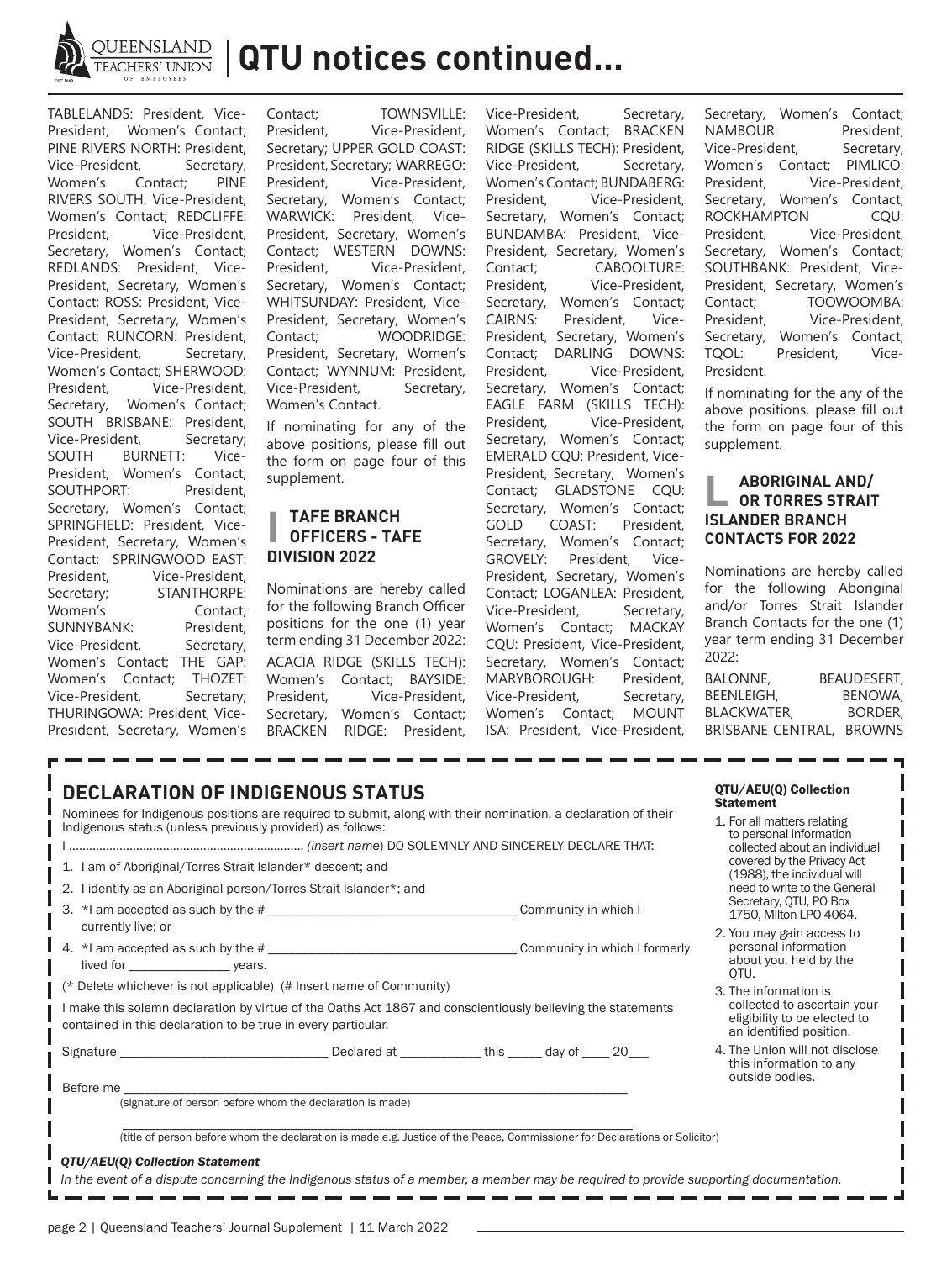

**QTU notices continued...**

TABLELANDS: President, Vice-President, Women's Contact; PINE RIVERS NORTH: President,<br>Vice-President, Secretary, Vice-President, Secretary,<br>Women's Contact: PINE Women's Contact; RIVERS SOUTH: Vice-President, Women's Contact; REDCLIFFE: President, Vice-President, Secretary, Women's Contact; REDLANDS: President, Vice-President, Secretary, Women's Contact; ROSS: President, Vice-President, Secretary, Women's Contact; RUNCORN: President,<br>Vice-President, Secretary, Vice-President, Women's Contact; SHERWOOD:<br>President. Vice-President. Vice-President, Secretary, Women's Contact; SOUTH BRISBANE: President, Vice-President, Secretary; SOUTH BURNETT: Vice-President, Women's Contact; SOUTHPORT: President, Secretary, Women's Contact; SPRINGFIELD: President, Vice-President, Secretary, Women's Contact; SPRINGWOOD EAST: President, Vice-President,<br>Secretary; STANTHORPE: STANTHORPE: Women's Contact; SUNNYBANK: President,<br>Vice-President, Secretary, Vice-President, Women's Contact; THE GAP: Women's Contact; THOZET: Vice-President, Secretary; THURINGOWA: President, Vice-President, Secretary, Women's

Contact; TOWNSVILLE:<br>President. Vice-President. Vice-President, Secretary; UPPER GOLD COAST: President, Secretary; WARREGO: President, Vice-President, Secretary, Women's Contact; WARWICK: President, Vice-President, Secretary, Women's Contact; WESTERN DOWNS:<br>President. Vice-President. Vice-President, Secretary, Women's Contact; WHITSUNDAY: President, Vice-President, Secretary, Women's Contact; WOODRIDGE: President, Secretary, Women's Contact; WYNNUM: President,<br>Vice-President. Secretary, Vice-President, Women's Contact.

If nominating for any of the above positions, please fill out the form on page four of this supplement.

## **I TAFE BRANCH OFFICERS - TAFE DIVISION 2022**

Nominations are hereby called for the following Branch Officer positions for the one (1) year term ending 31 December 2022: ACACIA RIDGE (SKILLS TECH): Women's Contact; BAYSIDE: President, Vice-President, Secretary, Women's Contact; BRACKEN RIDGE: President,

Vice-President, Secretary, Women's Contact; BRACKEN RIDGE (SKILLS TECH): President,<br>Vice-President, Secretary, Vice-President, Women's Contact; BUNDABERG: President, Vice-President, Secretary, Women's Contact; BUNDAMBA: President, Vice-President, Secretary, Women's<br>Contact: CABOOLTURE: CABOOLTURE: President, Vice-President, Secretary, Women's Contact; CAIRNS: President, Vice-President, Secretary, Women's Contact; DARLING DOWNS:<br>President. Vice-President. Vice-President, Secretary, Women's Contact; EAGLE FARM (SKILLS TECH):<br>President. Vice-President. Vice-President, Secretary, Women's Contact; EMERALD CQU: President, Vice-President, Secretary, Women's Contact; GLADSTONE CQU: Secretary, Women's Contact; GOLD COAST: President, Secretary, Women's Contact;<br>GROVELY: President, Vice-President, Vice-President, Secretary, Women's Contact; LOGANLEA: President, Vice-President, Secretary, Women's Contact; MACKAY CQU: President, Vice-President, Secretary, Women's Contact; MARYBOROUGH: President, Vice-President, Secretary, Women's Contact; MOUNT ISA: President, Vice-President, Secretary, Women's Contact;<br>NAMBOUR: President. NAMBOUR: Vice-President, Secretary, Women's Contact; PIMLICO: President, Vice-President, Secretary, Women's Contact; ROCKHAMPTON CQU: President, Vice-President, Secretary, Women's Contact; SOUTHBANK: President, Vice-President, Secretary, Women's<br>Contact: TOOWOOMBA: Contact; TOOWOOMBA:<br>President. Vice-President. Vice-President, Secretary, Women's Contact; TQOL: President, Vice-President.

If nominating for the any of the above positions, please fill out the form on page four of this supplement.

## **L ABORIGINAL AND/ OR TORRES STRAIT ISLANDER BRANCH CONTACTS FOR 2022**

Nominations are hereby called for the following Aboriginal and/or Torres Strait Islander Branch Contacts for the one (1) year term ending 31 December 2022:

BALONNE, BEAUDESERT, BEENLEIGH, BENOWA, BLACKWATER, BORDER, BRISBANE CENTRAL, BROWNS

| <b>DECLARATION OF INDIGENOUS STATUS</b><br>Nominees for Indigenous positions are required to submit, along with their nomination, a declaration of their<br>Indigenous status (unless previously provided) as follows:<br>1. I am of Aboriginal/Torres Strait Islander* descent; and<br>2. I identify as an Aboriginal person/Torres Strait Islander*; and |  |  | QTU/AEU(Q) Collection<br><b>Statement</b><br>1. For all matters relating<br>to personal information<br>collected about an individual<br>covered by the Privacy Act<br>(1988), the individual will<br>need to write to the General<br>Secretary, QTU, PO Box |  |
|------------------------------------------------------------------------------------------------------------------------------------------------------------------------------------------------------------------------------------------------------------------------------------------------------------------------------------------------------------|--|--|-------------------------------------------------------------------------------------------------------------------------------------------------------------------------------------------------------------------------------------------------------------|--|
| currently live; or                                                                                                                                                                                                                                                                                                                                         |  |  | 1750. Milton LPO 4064.                                                                                                                                                                                                                                      |  |
|                                                                                                                                                                                                                                                                                                                                                            |  |  | 2. You may gain access to<br>personal information<br>about you, held by the<br>OTU.                                                                                                                                                                         |  |
| (* Delete whichever is not applicable) (# Insert name of Community)                                                                                                                                                                                                                                                                                        |  |  | 3. The information is<br>collected to ascertain your<br>eligibility to be elected to<br>an identified position.                                                                                                                                             |  |
| I make this solemn declaration by virtue of the Oaths Act 1867 and conscientiously believing the statements<br>contained in this declaration to be true in every particular.                                                                                                                                                                               |  |  |                                                                                                                                                                                                                                                             |  |
|                                                                                                                                                                                                                                                                                                                                                            |  |  | 4. The Union will not disclose<br>this information to any<br>outside bodies.                                                                                                                                                                                |  |
| Before me<br>(signature of person before whom the declaration is made)                                                                                                                                                                                                                                                                                     |  |  |                                                                                                                                                                                                                                                             |  |
|                                                                                                                                                                                                                                                                                                                                                            |  |  |                                                                                                                                                                                                                                                             |  |
| (title of person before whom the declaration is made e.g. Justice of the Peace, Commissioner for Declarations or Solicitor)                                                                                                                                                                                                                                |  |  |                                                                                                                                                                                                                                                             |  |
| QTU/AEU(Q) Collection Statement                                                                                                                                                                                                                                                                                                                            |  |  |                                                                                                                                                                                                                                                             |  |
| In the event of a dispute concerning the Indigenous status of a member, a member may be required to provide supporting documentation.                                                                                                                                                                                                                      |  |  |                                                                                                                                                                                                                                                             |  |
|                                                                                                                                                                                                                                                                                                                                                            |  |  |                                                                                                                                                                                                                                                             |  |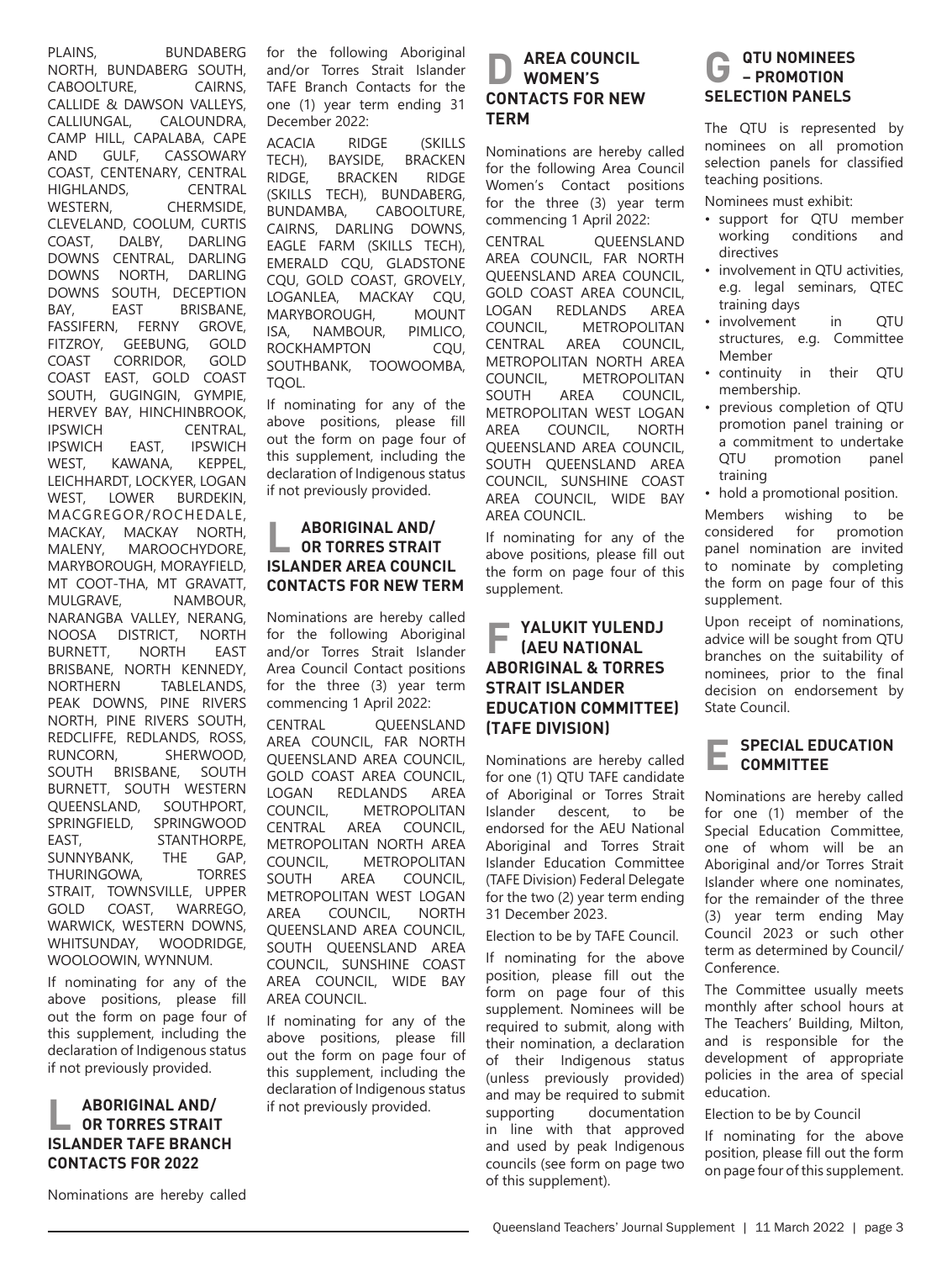PLAINS, BUNDABERG NORTH, BUNDABERG SOUTH, CABOOLTURE, CAIRNS, CALLIDE & DAWSON VALLEYS,<br>CALLIUNGAL, CALOUNDRA, CALOUNDRA, CAMP HILL, CAPALABA, CAPE AND GULF, CASSOWARY COAST, CENTENARY, CENTRAL HIGHLANDS, CENTRAL WESTERN, CHERMSIDE, CLEVELAND, COOLUM, CURTIS COAST, DALBY, DARLING DOWNS CENTRAL, DARLING DOWNS NORTH, DARLING DOWNS SOUTH, DECEPTION BAY, EAST BRISBANE, FASSIFERN, FERNY GROVE,<br>FITZROY, GEEBUNG, GOLD GEEBUNG, COAST CORRIDOR, GOLD COAST EAST, GOLD COAST SOUTH, GUGINGIN, GYMPIE, HERVEY BAY, HINCHINBROOK,<br>IPSWICH CENTRAL. **IPSWICH CENTRAL,<br>IPSWICH EAST, IPSWICH** IPSWICH EAST, IPSWICH<br>WEST, KAWANA, KEPPEL, KAWANA, LEICHHARDT, LOCKYER, LOGAN WEST, LOWER BURDEKIN, MACGREGOR/ROCHEDALE, MACKAY, MACKAY NORTH, MALENY, MAROOCHYDORE, MARYBOROUGH, MORAYFIELD, MT COOT-THA, MT GRAVATT, NAMBOUR. NARANGBA VALLEY, NERANG, NOOSA DISTRICT, NORTH BURNETT, NORTH EAST BRISBANE, NORTH KENNEDY,<br>NORTHERN TABLELANDS. TABLELANDS. PEAK DOWNS, PINE RIVERS NORTH, PINE RIVERS SOUTH, REDCLIFFE, REDLANDS, ROSS, RUNCORN, SHERWOOD, SOUTH BRISBANE, SOUTH BURNETT, SOUTH WESTERN QUEENSLAND, SOUTHPORT, SPRINGFIELD, SPRINGWOOD EAST, STANTHORPE, SUNNYBANK, THE GAP, THURINGOWA, TORRES STRAIT, TOWNSVILLE, UPPER GOLD COAST, WARREGO, WARWICK, WESTERN DOWNS, WHITSUNDAY, WOODRIDGE, WOOLOOWIN, WYNNUM.

If nominating for any of the above positions, please fill out the form on page four of this supplement, including the declaration of Indigenous status if not previously provided.

### **L ABORIGINAL AND/ OR TORRES STRAIT ISLANDER TAFE BRANCH CONTACTS FOR 2022**

for the following Aboriginal and/or Torres Strait Islander TAFE Branch Contacts for the one (1) year term ending 31 December 2022:

ACACIA RIDGE (SKILLS<br>TECH), BAYSIDE, BRACKEN TECH), BAYSIDE, BRACKEN<br>RIDGE, BRACKEN RIDGE **BRACKEN** (SKILLS TECH), BUNDABERG,<br>BUNDAMBA. CABOOLTURE. CABOOLTURE. CAIRNS, DARLING DOWNS, EAGLE FARM (SKILLS TECH), EMERALD CQU, GLADSTONE CQU, GOLD COAST, GROVELY, LOGANLEA, MACKAY CQU, MARYBOROUGH, MOUNT<br>ISA. NAMBOUR. PIMLICO. ISA, NAMBOUR, PIMLICO,<br>ROCKHAMPTON CQU, ROCKHAMPTON SOUTHBANK, TOOWOOMBA, TQOL.

If nominating for any of the above positions, please fill out the form on page four of this supplement, including the declaration of Indigenous status if not previously provided.

#### **L ABORIGINAL AND/ OR TORRES STRAIT ISLANDER AREA COUNCIL CONTACTS FOR NEW TERM**

Nominations are hereby called for the following Aboriginal and/or Torres Strait Islander Area Council Contact positions for the three (3) year term commencing 1 April 2022:

CENTRAL QUEENSLAND AREA COUNCIL, FAR NORTH QUEENSLAND AREA COUNCIL, GOLD COAST AREA COUNCIL, LOGAN REDLANDS AREA COUNCIL, METROPOLITAN<br>CENTRAL AREA COUNCIL, CENTRAL AREA COUNCIL, METROPOLITAN NORTH AREA COUNCIL, METROPOLITAN SOUTH AREA COUNCIL, METROPOLITAN WEST LOGAN<br>AREA COUNCIL. NORTH AREA COUNCIL, QUEENSLAND AREA COUNCIL, SOUTH QUEENSLAND AREA COUNCIL, SUNSHINE COAST AREA COUNCIL, WIDE BAY AREA COUNCIL.

If nominating for any of the above positions, please fill out the form on page four of this supplement, including the declaration of Indigenous status if not previously provided.

#### **AREA COUNCIL WOMEN'S CONTACTS FOR NEW TERM**

Nominations are hereby called for the following Area Council Women's Contact positions for the three (3) year term commencing 1 April 2022:

CENTRAL QUEENSLAND AREA COUNCIL, FAR NORTH QUEENSLAND AREA COUNCIL, GOLD COAST AREA COUNCIL, LOGAN REDLANDS AREA<br>COUNCIL. METROPOLITAN COUNCIL, METROPOLITAN<br>CENTRAL AREA COUNCIL, COUNCIL. METROPOLITAN NORTH AREA COUNCIL, METROPOLITAN<br>SOUTH AREA COUNCIL, COUNCIL. METROPOLITAN WEST LOGAN<br>AREA COUNCIL. NORTH AREA COUNCIL, QUEENSLAND AREA COUNCIL, SOUTH QUEENSLAND AREA COUNCIL, SUNSHINE COAST AREA COUNCIL, WIDE BAY AREA COUNCIL.

If nominating for any of the above positions, please fill out the form on page four of this supplement.

#### **F YALUKIT YULENDJ (AEU NATIONAL ABORIGINAL & TORRES STRAIT ISLANDER EDUCATION COMMITTEE) (TAFE DIVISION)**

Nominations are hereby called for one (1) QTU TAFE candidate of Aboriginal or Torres Strait Islander descent, to be endorsed for the AEU National Aboriginal and Torres Strait Islander Education Committee (TAFE Division) Federal Delegate for the two (2) year term ending 31 December 2023.

Election to be by TAFE Council.

If nominating for the above position, please fill out the form on page four of this supplement. Nominees will be required to submit, along with their nomination, a declaration of their Indigenous status (unless previously provided) and may be required to submit supporting documentation in line with that approved and used by peak Indigenous councils (see form on page two of this supplement).

#### **GTU NOMINEES – PROMOTION SELECTION PANELS**

The QTU is represented by nominees on all promotion selection panels for classified teaching positions.

Nominees must exhibit:

- support for QTU member conditions directives
- involvement in QTU activities, e.g. legal seminars, QTEC training days
- involvement in OTU structures, e.g. Committee Member
- continuity in their QTU membership.
- previous completion of QTU promotion panel training or a commitment to undertake<br>OTU promotion panel promotion training
- hold a promotional position.

Members wishing to be considered for promotion panel nomination are invited to nominate by completing the form on page four of this supplement.

Upon receipt of nominations, advice will be sought from QTU branches on the suitability of nominees, prior to the final decision on endorsement by State Council.

#### **E SPECIAL EDUCATION COMMITTEE**

Nominations are hereby called for one (1) member of the Special Education Committee, one of whom will be an Aboriginal and/or Torres Strait Islander where one nominates, for the remainder of the three (3) year term ending May Council 2023 or such other term as determined by Council/ Conference.

The Committee usually meets monthly after school hours at The Teachers' Building, Milton, and is responsible for the development of appropriate policies in the area of special education.

Election to be by Council

If nominating for the above position, please fill out the form on page four of this supplement.

Nominations are hereby called